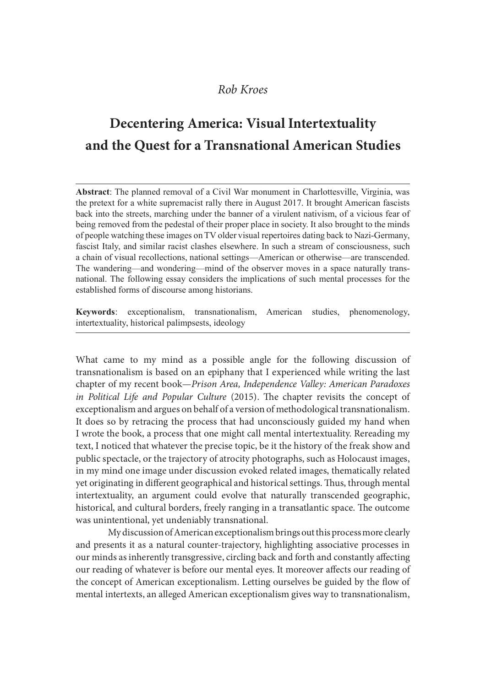# Decentering America: Visual Intertextuality and the Quest for a Transnational American Studies

Abstract: The planned removal of a Civil War monument in Charlottesville, Virginia, was the pretext for a white supremacist rally there in August 2017. It brought American fascists back into the streets, marching under the banner of a virulent nativism, of a vicious fear of being removed from the pedestal of their proper place in society. It also brought to the minds of people watching these images on TV older visual repertoires dating back to Nazi-Germany, fascist Italy, and similar racist clashes elsewhere. In such a stream of consciousness, such a chain of visual recollections, national settings—American or otherwise—are transcended. The wandering—and wondering—mind of the observer moves in a space naturally transnational. The following essay considers the implications of such mental processes for the established forms of discourse among historians. **Decentering America: Visual Intertextuality**<br> **and the Quest for a Transnational American Studies**<br> **Abstract**: The planned removal of a Civil War monument in Charlottesville, Virginia, was<br>
the pretext for a white suprem

intertextuality, historical palimpsests, ideology

What came to my mind as a possible angle for the following discussion of transnationalism is based on an epiphany that I experienced while writing the last chapter of my recent book—Prison Area, Independence Valley: American Paradoxes in Political Life and Popular Culture (2015). The chapter revisits the concept of exceptionalism and argues on behalf of a version of methodological transnationalism. It does so by retracing the process that had unconsciously guided my hand when I wrote the book, a process that one might call mental intertextuality. Rereading my text, I noticed that whatever the precise topic, be it the history of the freak show and public spectacle, or the trajectory of atrocity photographs, such as Holocaust images, in my mind one image under discussion evoked related images, thematically related yet originating in different geographical and historical settings. Thus, through mental intertextuality, an argument could evolve that naturally transcended geographic, historical, and cultural borders, freely ranging in a transatlantic space. The outcome was unintentional, yet undeniably transnational.

My discussion of American exceptionalism brings out this process more clearly and presents it as a natural counter-trajectory, highlighting associative processes in our minds as inherently transgressive, circling back and forth and constantly affecting our reading of whatever is before our mental eyes. It moreover affects our reading of the concept of American exceptionalism. Letting ourselves be guided by the flow of mental intertexts, an alleged American exceptionalism gives way to transnationalism,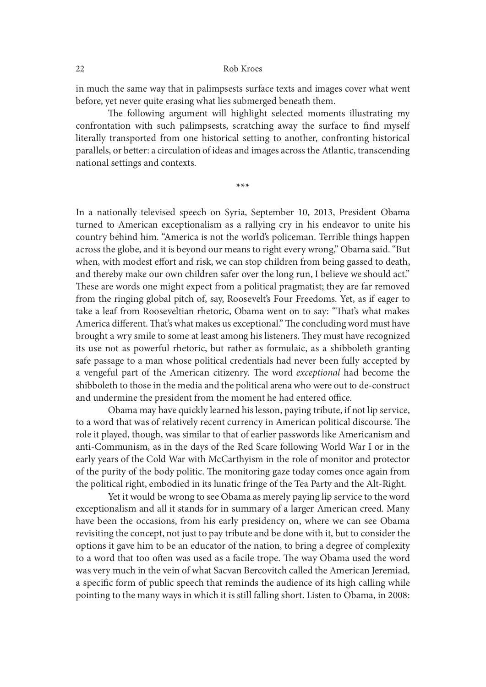in much the same way that in palimpsests surface texts and images cover what went before, yet never quite erasing what lies submerged beneath them.

The following argument will highlight selected moments illustrating my confrontation with such palimpsests, scratching away the surface to find myself literally transported from one historical setting to another, confronting historical parallels, or better: a circulation of ideas and images across the Atlantic, transcending national settings and contexts. confrontation with such palimpsests, scratching away the surface to find myself<br>literally transported from one historical setting to another, confronting historical<br>parallels, or better: a circulation of ideas and images a

\*\*\*

turned to American exceptionalism as a rallying cry in his endeavor to unite his country behind him. "America is not the world's policeman. Terrible things happen across the globe, and it is beyond our means to right every wrong," Obama said. "But when, with modest effort and risk, we can stop children from being gassed to death, and thereby make our own children safer over the long run, I believe we should act." These are words one might expect from a political pragmatist; they are far removed from the ringing global pitch of, say, Roosevelt's Four Freedoms. Yet, as if eager to take a leaf from Rooseveltian rhetoric, Obama went on to say: "That's what makes America different. That's what makes us exceptional." The concluding word must have brought a wry smile to some at least among his listeners. They must have recognized its use not as powerful rhetoric, but rather as formulaic, as a shibboleth granting safe passage to a man whose political credentials had never been fully accepted by a vengeful part of the American citizenry. The word exceptional had become the shibboleth to those in the media and the political arena who were out to de-construct and undermine the president from the moment he had entered office.

Obama may have quickly learned his lesson, paying tribute, if not lip service, to a word that was of relatively recent currency in American political discourse. The role it played, though, was similar to that of earlier passwords like Americanism and anti-Communism, as in the days of the Red Scare following World War I or in the early years of the Cold War with McCarthyism in the role of monitor and protector of the purity of the body politic. The monitoring gaze today comes once again from the political right, embodied in its lunatic fringe of the Tea Party and the Alt-Right.

Yet it would be wrong to see Obama as merely paying lip service to the word exceptionalism and all it stands for in summary of a larger American creed. Many have been the occasions, from his early presidency on, where we can see Obama revisiting the concept, not just to pay tribute and be done with it, but to consider the options it gave him to be an educator of the nation, to bring a degree of complexity to a word that too often was used as a facile trope. The way Obama used the word was very much in the vein of what Sacvan Bercovitch called the American Jeremiad, a specific form of public speech that reminds the audience of its high calling while pointing to the many ways in which it is still falling short. Listen to Obama, in 2008: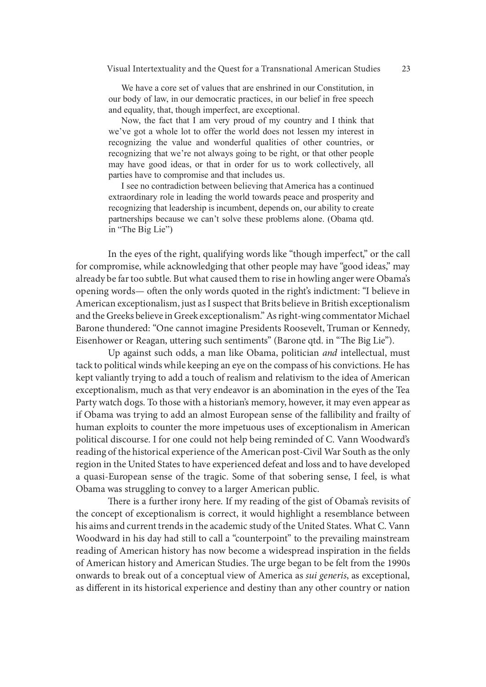We have a core set of values that are enshrined in our Constitution, in our body of law, in our democratic practices, in our belief in free speech and equality, that, though imperfect, are exceptional.

Now, the fact that I am very proud of my country and I think that we've got a whole lot to offer the world does not lessen my interest in recognizing the value and wonderful qualities of other countries, or recognizing that we're not always going to be right, or that other people Visual Intertextuality and the Quest for a Transnational American Studies<br>We have a core set of values that are enshrined in our Constitution, in<br>our body of law, in our democratic practices, in our belief in free speech<br>a parties have to compromise and that includes us.

I see no contradiction between believing that America has a continued extraordinary role in leading the world towards peace and prosperity and recognizing that leadership is incumbent, depends on, our ability to create partnerships because we can't solve these problems alone. (Obama qtd. in "The Big Lie")

In the eyes of the right, qualifying words like "though imperfect," or the call for compromise, while acknowledging that other people may have "good ideas," may already be far too subtle. But what caused them to rise in howling anger were Obama's opening words— oten the only words quoted in the right's indictment: "I believe in American exceptionalism, just as I suspect that Brits believe in British exceptionalism and the Greeks believe in Greek exceptionalism." As right-wing commentator Michael Barone thundered: "One cannot imagine Presidents Roosevelt, Truman or Kennedy, Eisenhower or Reagan, uttering such sentiments" (Barone qtd. in "The Big Lie").

Up against such odds, a man like Obama, politician *and* intellectual, must tack to political winds while keeping an eye on the compass of his convictions. He has kept valiantly trying to add a touch of realism and relativism to the idea of American exceptionalism, much as that very endeavor is an abomination in the eyes of the Tea Party watch dogs. To those with a historian's memory, however, it may even appear as if Obama was trying to add an almost European sense of the fallibility and frailty of human exploits to counter the more impetuous uses of exceptionalism in American political discourse. I for one could not help being reminded of C. Vann Woodward's reading of the historical experience of the American post-Civil War South as the only region in the United States to have experienced defeat and loss and to have developed a quasi-European sense of the tragic. Some of that sobering sense, I feel, is what Obama was struggling to convey to a larger American public.

There is a further irony here. If my reading of the gist of Obama's revisits of the concept of exceptionalism is correct, it would highlight a resemblance between his aims and current trends in the academic study of the United States. What C. Vann Woodward in his day had still to call a "counterpoint" to the prevailing mainstream reading of American history has now become a widespread inspiration in the fields of American history and American Studies. The urge began to be felt from the 1990s onwards to break out of a conceptual view of America as sui generis, as exceptional, as different in its historical experience and destiny than any other country or nation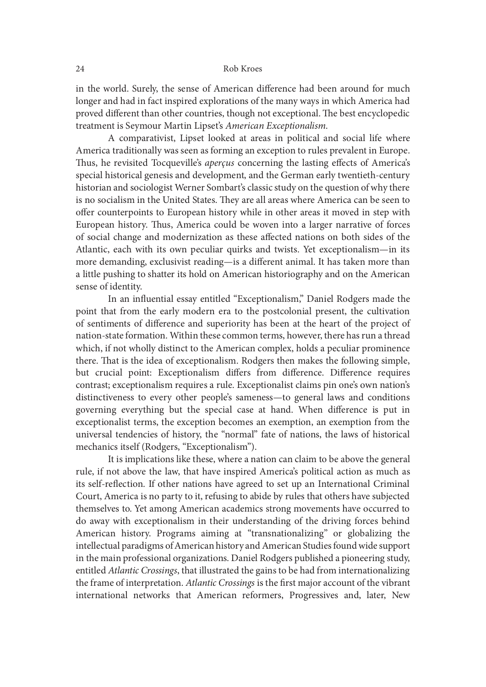in the world. Surely, the sense of American difference had been around for much longer and had in fact inspired explorations of the many ways in which America had proved different than other countries, though not exceptional. The best encyclopedic treatment is Seymour Martin Lipset's American Exceptionalism.

A comparativist, Lipset looked at areas in political and social life where America traditionally was seen as forming an exception to rules prevalent in Europe. Thus, he revisited Tocqueville's aperçus concerning the lasting effects of America's special historical genesis and development, and the German early twentieth-century historian and sociologist Werner Sombart's classic study on the question of why there is no socialism in the United States. They are all areas where America can be seen to offer counterpoints to European history while in other areas it moved in step with European history. Thus, America could be woven into a larger narrative of forces of social change and modernization as these affected nations on both sides of the Atlantic, each with its own peculiar quirks and twists. Yet exceptionalism—in its more demanding, exclusivist reading—is a different animal. It has taken more than a little pushing to shatter its hold on American historiography and on the American sense of identity.

In an in{uential essay entitled "Exceptionalism," Daniel Rodgers made the point that from the early modern era to the postcolonial present, the cultivation of sentiments of difference and superiority has been at the heart of the project of nation-state formation. Within these common terms, however, there has run a thread which, if not wholly distinct to the American complex, holds a peculiar prominence there. That is the idea of exceptionalism. Rodgers then makes the following simple, but crucial point: Exceptionalism differs from difference. Difference requires contrast; exceptionalism requires a rule. Exceptionalist claims pin one's own nation's distinctiveness to every other people's sameness—to general laws and conditions governing everything but the special case at hand. When difference is put in exceptionalist terms, the exception becomes an exemption, an exemption from the universal tendencies of history, the "normal" fate of nations, the laws of historical mechanics itself (Rodgers, "Exceptionalism").

It is implications like these, where a nation can claim to be above the general rule, if not above the law, that have inspired America's political action as much as its self-reflection. If other nations have agreed to set up an International Criminal Court, America is no party to it, refusing to abide by rules that others have subjected themselves to. Yet among American academics strong movements have occurred to do away with exceptionalism in their understanding of the driving forces behind American history. Programs aiming at "transnationalizing" or globalizing the intellectual paradigms of American history and American Studies found wide support in the main professional organizations. Daniel Rodgers published a pioneering study, entitled Atlantic Crossings, that illustrated the gains to be had from internationalizing the frame of interpretation. Atlantic Crossings is the first major account of the vibrant international networks that American reformers, Progressives and, later, New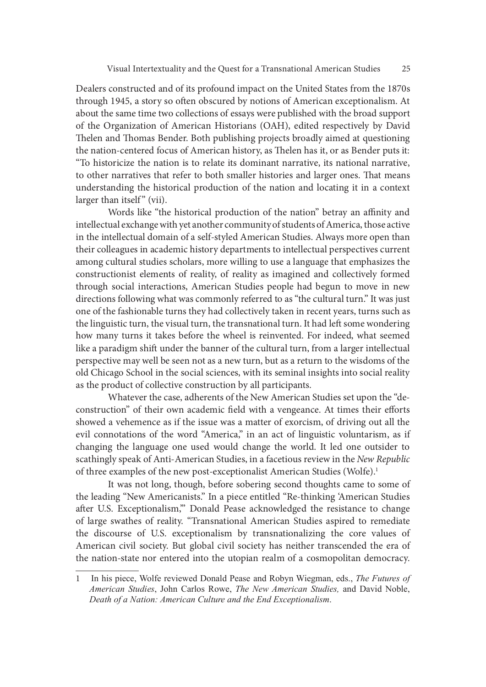Dealers constructed and of its profound impact on the United States from the 1870s through 1945, a story so often obscured by notions of American exceptionalism. At about the same time two collections of essays were published with the broad support of the Organization of American Historians (OAH), edited respectively by David Thelen and Thomas Bender. Both publishing projects broadly aimed at questioning the nation-centered focus of American history, as Thelen has it, or as Bender puts it: "To historicize the nation is to relate its dominant narrative, its national narrative, to other narratives that refer to both smaller histories and larger ones. That means understanding the historical production of the nation and locating it in a context about the same time two collections of essays wer<br>of the Organization of American Historians (O.<br>Thelen and Thomas Bender. Both publishing pro<br>the nation-centered focus of American history, as<br>"To historicize the nation is

Words like "the historical production of the nation" betray an affinity and intellectual exchange with yet another community of students of America, those active in the intellectual domain of a self-styled American Studies. Always more open than their colleagues in academic history departments to intellectual perspectives current among cultural studies scholars, more willing to use a language that emphasizes the constructionist elements of reality, of reality as imagined and collectively formed through social interactions, American Studies people had begun to move in new directions following what was commonly referred to as "the cultural turn." It was just one of the fashionable turns they had collectively taken in recent years, turns such as the linguistic turn, the visual turn, the transnational turn. It had left some wondering how many turns it takes before the wheel is reinvented. For indeed, what seemed like a paradigm shift under the banner of the cultural turn, from a larger intellectual perspective may well be seen not as a new turn, but as a return to the wisdoms of the old Chicago School in the social sciences, with its seminal insights into social reality as the product of collective construction by all participants.

Whatever the case, adherents of the New American Studies set upon the "deconstruction" of their own academic field with a vengeance. At times their efforts showed a vehemence as if the issue was a matter of exorcism, of driving out all the evil connotations of the word "America," in an act of linguistic voluntarism, as if changing the language one used would change the world. It led one outsider to scathingly speak of Anti-American Studies, in a facetious review in the New Republic of three examples of the new post-exceptionalist American Studies (Wolfe).1

It was not long, though, before sobering second thoughts came to some of the leading "New Americanists." In a piece entitled "Re-thinking 'American Studies ater U.S. Exceptionalism,'" Donald Pease acknowledged the resistance to change of large swathes of reality. "Transnational American Studies aspired to remediate the discourse of U.S. exceptionalism by transnationalizing the core values of American civil society. But global civil society has neither transcended the era of the nation-state nor entered into the utopian realm of a cosmopolitan democracy. if published to concident oncomparison and particular of the New American Studies set upon the "destruction" of their own academic field with a vengeance. At times their efforts word a vehemence as if the issue was a matte

<sup>1</sup> In his piece, Wolfe reviewed Donald Pease and Robyn Wiegman, eds., The Futures of American Studies, John Carlos Rowe, The New American Studies, and David Noble,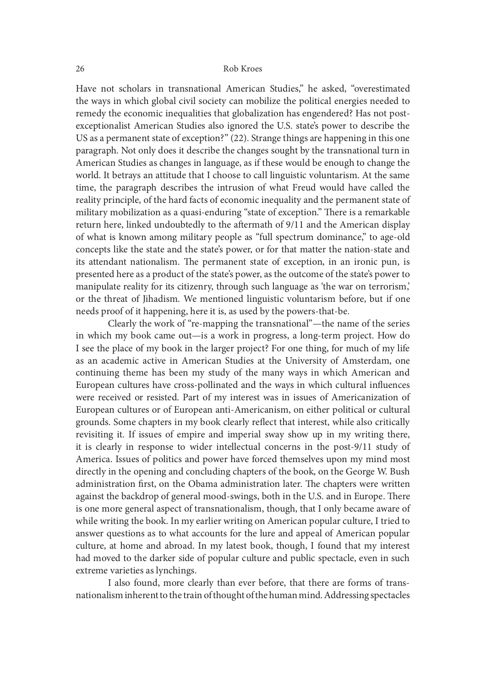Have not scholars in transnational American Studies," he asked, "overestimated the ways in which global civil society can mobilize the political energies needed to remedy the economic inequalities that globalization has engendered? Has not postexceptionalist American Studies also ignored the U.S. state's power to describe the US as a permanent state of exception?" (22). Strange things are happening in this one paragraph. Not only does it describe the changes sought by the transnational turn in American Studies as changes in language, as if these would be enough to change the world. It betrays an attitude that I choose to call linguistic voluntarism. At the same time, the paragraph describes the intrusion of what Freud would have called the reality principle, of the hard facts of economic inequality and the permanent state of military mobilization as a quasi-enduring "state of exception." There is a remarkable return here, linked undoubtedly to the atermath of 9/11 and the American display of what is known among military people as "full spectrum dominance," to age-old concepts like the state and the state's power, or for that matter the nation-state and its attendant nationalism. The permanent state of exception, in an ironic pun, is presented here as a product of the state's power, as the outcome of the state's power to manipulate reality for its citizenry, through such language as 'the war on terrorism,' or the threat of Jihadism. We mentioned linguistic voluntarism before, but if one needs proof of it happening, here it is, as used by the powers-that-be.

Clearly the work of "re-mapping the transnational"—the name of the series in which my book came out—is a work in progress, a long-term project. How do I see the place of my book in the larger project? For one thing, for much of my life as an academic active in American Studies at the University of Amsterdam, one continuing theme has been my study of the many ways in which American and European cultures have cross-pollinated and the ways in which cultural in{uences were received or resisted. Part of my interest was in issues of Americanization of European cultures or of European anti-Americanism, on either political or cultural grounds. Some chapters in my book clearly reflect that interest, while also critically revisiting it. If issues of empire and imperial sway show up in my writing there, it is clearly in response to wider intellectual concerns in the post-9/11 study of America. Issues of politics and power have forced themselves upon my mind most directly in the opening and concluding chapters of the book, on the George W. Bush administration first, on the Obama administration later. The chapters were written against the backdrop of general mood-swings, both in the U.S. and in Europe. There is one more general aspect of transnationalism, though, that I only became aware of while writing the book. In my earlier writing on American popular culture, I tried to answer questions as to what accounts for the lure and appeal of American popular culture, at home and abroad. In my latest book, though, I found that my interest had moved to the darker side of popular culture and public spectacle, even in such extreme varieties as lynchings.

I also found, more clearly than ever before, that there are forms of transnationalism inherent to the train of thought of the human mind. Addressing spectacles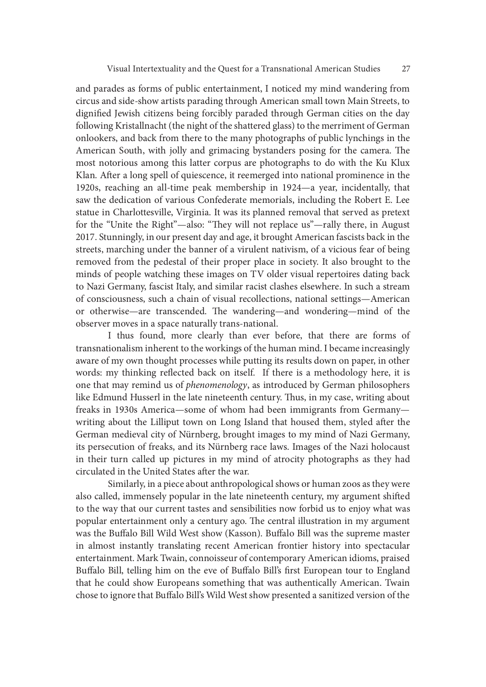and parades as forms of public entertainment, I noticed my mind wandering from circus and side-show artists parading through American small town Main Streets, to dignified Jewish citizens being forcibly paraded through German cities on the day following Kristallnacht (the night of the shattered glass) to the merriment of German onlookers, and back from there to the many photographs of public lynchings in the American South, with jolly and grimacing bystanders posing for the camera. The most notorious among this latter corpus are photographs to do with the Ku Klux Klan. Ater a long spell of quiescence, it reemerged into national prominence in the 1920s, reaching an all-time peak membership in 1924—a year, incidentally, that saw the dedication of various Confederate memorials, including the Robert E. Lee statue in Charlottesville, Virginia. It was its planned removal that served as pretext for the "Unite the Right"—also: "They will not replace us"—rally there, in August 2017. Stunningly, in our present day and age, it brought American fascists back in the streets, marching under the banner of a virulent nativism, of a vicious fear of being removed from the pedestal of their proper place in society. It also brought to the minds of people watching these images on TV older visual repertoires dating back to Nazi Germany, fascist Italy, and similar racist clashes elsewhere. In such a stream of consciousness, such a chain of visual recollections, national settings—American or otherwise—are transcended. The wandering—and wondering—mind of the observer moves in a space naturally trans-national.

I thus found, more clearly than ever before, that there are forms of transnationalism inherent to the workings of the human mind. I became increasingly aware of my own thought processes while putting its results down on paper, in other words: my thinking reflected back on itself. If there is a methodology here, it is one that may remind us of phenomenology, as introduced by German philosophers like Edmund Husserl in the late nineteenth century. Thus, in my case, writing about freaks in 1930s America—some of whom had been immigrants from Germany writing about the Lilliput town on Long Island that housed them, styled after the German medieval city of Nürnberg, brought images to my mind of Nazi Germany, its persecution of freaks, and its Nürnberg race laws. Images of the Nazi holocaust in their turn called up pictures in my mind of atrocity photographs as they had circulated in the United States ater the war.

Similarly, in a piece about anthropological shows or human zoos as they were also called, immensely popular in the late nineteenth century, my argument shited to the way that our current tastes and sensibilities now forbid us to enjoy what was popular entertainment only a century ago. The central illustration in my argument was the Buffalo Bill Wild West show (Kasson). Buffalo Bill was the supreme master in almost instantly translating recent American frontier history into spectacular entertainment. Mark Twain, connoisseur of contemporary American idioms, praised Buffalo Bill, telling him on the eve of Buffalo Bill's first European tour to England that he could show Europeans something that was authentically American. Twain chose to ignore that Buffalo Bill's Wild West show presented a sanitized version of the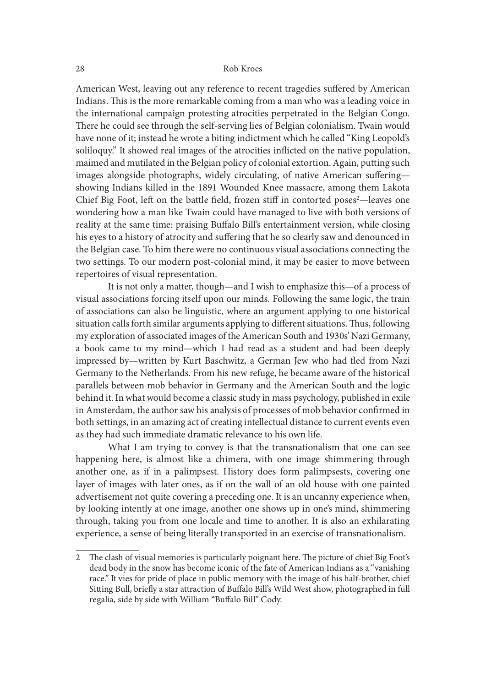American West, leaving out any reference to recent tragedies suffered by American Indians. This is the more remarkable coming from a man who was a leading voice in the international campaign protesting atrocities perpetrated in the Belgian Congo. There he could see through the self-serving lies of Belgian colonialism. Twain would have none of it; instead he wrote a biting indictment which he called "King Leopold's soliloquy." It showed real images of the atrocities inflicted on the native population, maimed and mutilated in the Belgian policy of colonial extortion. Again, putting such images alongside photographs, widely circulating, of native American suffering showing Indians killed in the 1891 Wounded Knee massacre, among them Lakota Chief Big Foot, left on the battle field, frozen stiff in contorted poses<sup>2</sup>—leaves one wondering how a man like Twain could have managed to live with both versions of reality at the same time: praising Buffalo Bill's entertainment version, while closing his eyes to a history of atrocity and suffering that he so clearly saw and denounced in the Belgian case. To him there were no continuous visual associations connecting the two settings. To our modern post-colonial mind, it may be easier to move between repertoires of visual representation.

It is not only a matter, though—and I wish to emphasize this—of a process of visual associations forcing itself upon our minds. Following the same logic, the train of associations can also be linguistic, where an argument applying to one historical situation calls forth similar arguments applying to different situations. Thus, following my exploration of associated images of the American South and 1930s' Nazi Germany, a book came to my mind—which I had read as a student and had been deeply impressed by—written by Kurt Baschwitz, a German Jew who had fled from Nazi Germany to the Netherlands. From his new refuge, he became aware of the historical parallels between mob behavior in Germany and the American South and the logic behind it. In what would become a classic study in mass psychology, published in exile in Amsterdam, the author saw his analysis of processes of mob behavior confirmed in both settings, in an amazing act of creating intellectual distance to current events even as they had such immediate dramatic relevance to his own life.

What I am trying to convey is that the transnationalism that one can see happening here, is almost like a chimera, with one image shimmering through another one, as if in a palimpsest. History does form palimpsests, covering one layer of images with later ones, as if on the wall of an old house with one painted advertisement not quite covering a preceding one. It is an uncanny experience when, by looking intently at one image, another one shows up in one's mind, shimmering through, taking you from one locale and time to another. It is also an exhilarating experience, a sense of being literally transported in an exercise of transnationalism.

<sup>2</sup> The clash of visual memories is particularly poignant here. The picture of chief Big Foot's dead body in the snow has become iconic of the fate of American Indians as a "vanishing race." It vies for pride of place in public memory with the image of his half-brother, chief Sitting Bull, briefly a star attraction of Buffalo Bill's Wild West show, photographed in full regalia, side by side with William "Buffalo Bill" Cody.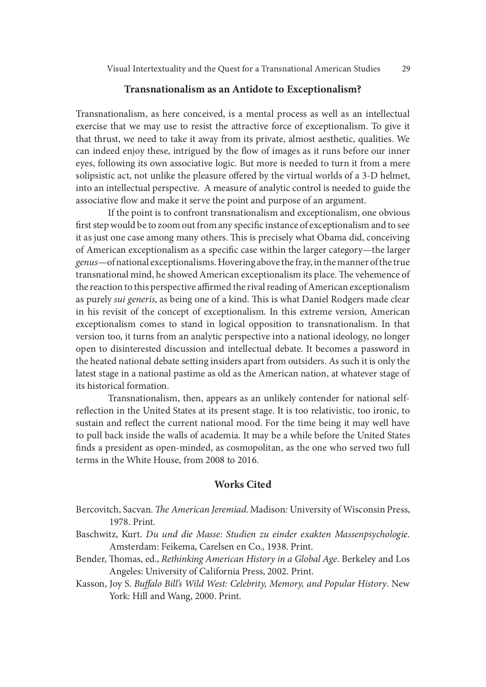### Transnationalism as an Antidote to Exceptionalism?

Transnationalism, as here conceived, is a mental process as well as an intellectual exercise that we may use to resist the attractive force of exceptionalism. To give it that thrust, we need to take it away from its private, almost aesthetic, qualities. We can indeed enjoy these, intrigued by the flow of images as it runs before our inner eyes, following its own associative logic. But more is needed to turn it from a mere solipsistic act, not unlike the pleasure offered by the virtual worlds of a 3-D helmet, into an intellectual perspective. A measure of analytic control is needed to guide the associative flow and make it serve the point and purpose of an argument.

If the point is to confront transnationalism and exceptionalism, one obvious first step would be to zoom out from any specific instance of exceptionalism and to see it as just one case among many others. This is precisely what Obama did, conceiving of American exceptionalism as a specific case within the larger category—the larger genus—of national exceptionalisms. Hovering above the fray, in the manner of the true transnational mind, he showed American exceptionalism its place. The vehemence of the reaction to this perspective affirmed the rival reading of American exceptionalism as purely sui generis, as being one of a kind. This is what Daniel Rodgers made clear in his revisit of the concept of exceptionalism. In this extreme version, American exceptionalism comes to stand in logical opposition to transnationalism. In that version too, it turns from an analytic perspective into a national ideology, no longer open to disinterested discussion and intellectual debate. It becomes a password in the heated national debate setting insiders apart from outsiders. As such it is only the latest stage in a national pastime as old as the American nation, at whatever stage of its historical formation.

Transnationalism, then, appears as an unlikely contender for national selfreflection in the United States at its present stage. It is too relativistic, too ironic, to sustain and reflect the current national mood. For the time being it may well have to pull back inside the walls of academia. It may be a while before the United States finds a president as open-minded, as cosmopolitan, as the one who served two full terms in the White House, from 2008 to 2016.

## Works Cited

Bercovitch, Sacvan. The American Jeremiad. Madison: University of Wisconsin Press, 1978. Print.

- Baschwitz, Kurt. Du und die Masse: Studien zu einder exakten Massenpsychologie. Amsterdam: Feikema, Carelsen en Co., 1938. Print.
- Bender, Thomas, ed., Rethinking American History in a Global Age. Berkeley and Los Angeles: University of California Press, 2002. Print.
- Kasson, Joy S. Buffalo Bill's Wild West: Celebrity, Memory, and Popular History. New York: Hill and Wang, 2000. Print.